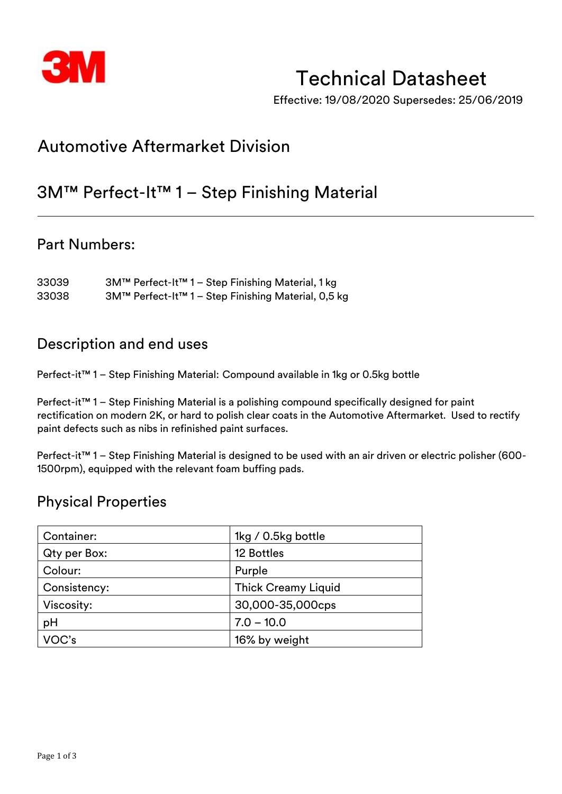

# Technical Datasheet

Effective: 19/08/2020 Supersedes: 25/06/2019

# Automotive Aftermarket Division

# 3M™ Perfect-It™ 1 – Step Finishing Material

## Part Numbers:

33039 3M™ Perfect-It™ 1 – Step Finishing Material, 1 kg 33038 3M™ Perfect-It™ 1 – Step Finishing Material, 0,5 kg

## Description and end uses

Perfect-it™ 1 – Step Finishing Material: Compound available in 1kg or 0.5kg bottle

Perfect-it™ 1 – Step Finishing Material is a polishing compound specifically designed for paint rectification on modern 2K, or hard to polish clear coats in the Automotive Aftermarket. Used to rectify paint defects such as nibs in refinished paint surfaces.

Perfect-it™ 1 – Step Finishing Material is designed to be used with an air driven or electric polisher (600-1500rpm), equipped with the relevant foam buffing pads.

## Physical Properties

| Container:   | 1kg / 0.5kg bottle         |  |
|--------------|----------------------------|--|
| Qty per Box: | 12 Bottles                 |  |
| Colour:      | Purple                     |  |
| Consistency: | <b>Thick Creamy Liquid</b> |  |
| Viscosity:   | 30,000-35,000cps           |  |
| pH           | $7.0 - 10.0$               |  |
| VOC's        | 16% by weight              |  |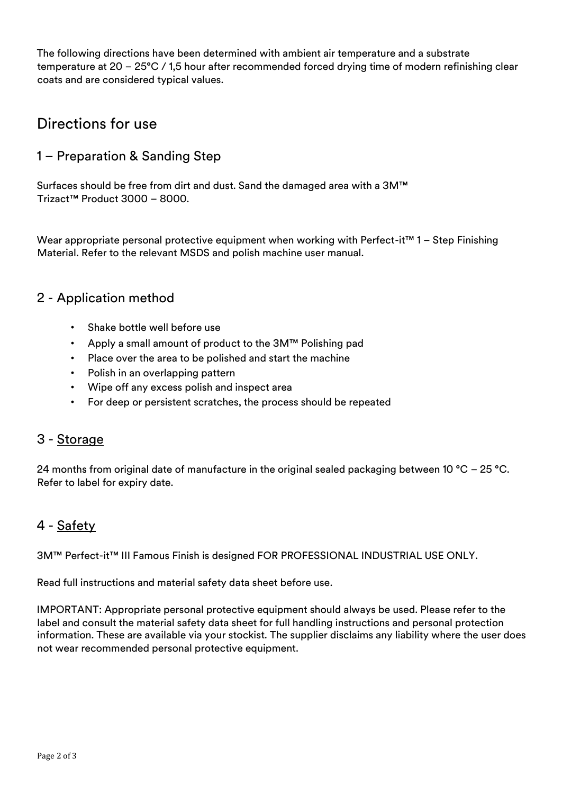The following directions have been determined with ambient air temperature and a substrate temperature at 20 – 25°C / 1,5 hour after recommended forced drying time of modern refinishing clear coats and are considered typical values.

## Directions for use

### 1 – Preparation & Sanding Step

Surfaces should be free from dirt and dust. Sand the damaged area with a 3M™ Trizact™ Product 3000 – 8000.

Wear appropriate personal protective equipment when working with Perfect-it<sup>™</sup> 1 – Step Finishing Material. Refer to the relevant MSDS and polish machine user manual.

#### 2 - Application method

- Shake bottle well before use
- Apply a small amount of product to the 3M™ Polishing pad
- Place over the area to be polished and start the machine
- Polish in an overlapping pattern
- Wipe off any excess polish and inspect area
- For deep or persistent scratches, the process should be repeated

#### 3 - Storage

24 months from original date of manufacture in the original sealed packaging between 10 °C – 25 °C. Refer to label for expiry date.

## 4 - Safety

3M™ Perfect-it™ III Famous Finish is designed FOR PROFESSIONAL INDUSTRIAL USE ONLY.

Read full instructions and material safety data sheet before use.

IMPORTANT: Appropriate personal protective equipment should always be used. Please refer to the label and consult the material safety data sheet for full handling instructions and personal protection information. These are available via your stockist. The supplier disclaims any liability where the user does not wear recommended personal protective equipment.